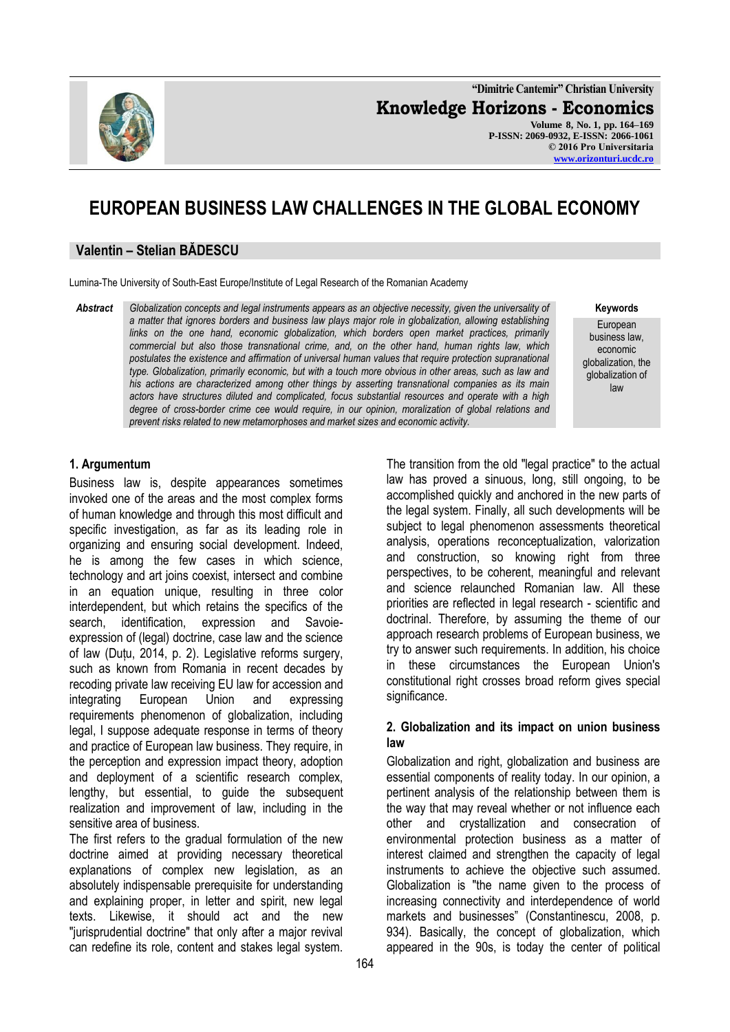**"Dimitrie Cantemir" Christian University Knowledge Horizons - Economics Volume 8, No. 1, pp. 164–169 P-ISSN: 2069-0932, E-ISSN: 2066-1061 © 2016 Pro Universitaria [www.orizonturi.ucdc.ro](http://www.orizonturi.ucdc.ro/)**

# **EUROPEAN BUSINESS LAW CHALLENGES IN THE GLOBAL ECONOMY**

#### **Valentin – Stelian BĂDESCU**

Lumina-The University of South-East Europe/Institute of Legal Research of the Romanian Academy

*Abstract Globalization concepts and legal instruments appears as an objective necessity, given the universality of a matter that ignores borders and business law plays major role in globalization, allowing establishing links on the one hand, economic globalization, which borders open market practices, primarily commercial but also those transnational crime, and, on the other hand, human rights law, which postulates the existence and affirmation of universal human values that require protection supranational type. Globalization, primarily economic, but with a touch more obvious in other areas, such as law and his actions are characterized among other things by asserting transnational companies as its main actors have structures diluted and complicated, focus substantial resources and operate with a high degree of cross-border crime cee would require, in our opinion, moralization of global relations and prevent risks related to new metamorphoses and market sizes and economic activity.*

#### **Keywords**

European business law, economic globalization, the globalization of law

### **1. Argumentum**

Business law is, despite appearances sometimes invoked one of the areas and the most complex forms of human knowledge and through this most difficult and specific investigation, as far as its leading role in organizing and ensuring social development. Indeed, he is among the few cases in which science, technology and art joins coexist, intersect and combine in an equation unique, resulting in three color interdependent, but which retains the specifics of the search, identification, expression and Savoieexpression of (legal) doctrine, case law and the science of law (Duțu, 2014, p. 2). Legislative reforms surgery, such as known from Romania in recent decades by recoding private law receiving EU law for accession and integrating European Union and expressing requirements phenomenon of globalization, including legal, I suppose adequate response in terms of theory and practice of European law business. They require, in the perception and expression impact theory, adoption and deployment of a scientific research complex, lengthy, but essential, to guide the subsequent realization and improvement of law, including in the sensitive area of business.

The first refers to the gradual formulation of the new doctrine aimed at providing necessary theoretical explanations of complex new legislation, as an absolutely indispensable prerequisite for understanding and explaining proper, in letter and spirit, new legal texts. Likewise, it should act and the new "jurisprudential doctrine" that only after a major revival can redefine its role, content and stakes legal system.

The transition from the old "legal practice" to the actual law has proved a sinuous, long, still ongoing, to be accomplished quickly and anchored in the new parts of the legal system. Finally, all such developments will be subject to legal phenomenon assessments theoretical analysis, operations reconceptualization, valorization and construction, so knowing right from three perspectives, to be coherent, meaningful and relevant and science relaunched Romanian law. All these priorities are reflected in legal research - scientific and doctrinal. Therefore, by assuming the theme of our approach research problems of European business, we try to answer such requirements. In addition, his choice in these circumstances the European Union's constitutional right crosses broad reform gives special significance.

#### **2. Globalization and its impact on union business law**

Globalization and right, globalization and business are essential components of reality today. In our opinion, a pertinent analysis of the relationship between them is the way that may reveal whether or not influence each other and crystallization and consecration of environmental protection business as a matter of interest claimed and strengthen the capacity of legal instruments to achieve the objective such assumed. Globalization is "the name given to the process of increasing connectivity and interdependence of world markets and businesses" (Constantinescu, 2008, p. 934). Basically, the concept of globalization, which appeared in the 90s, is today the center of political

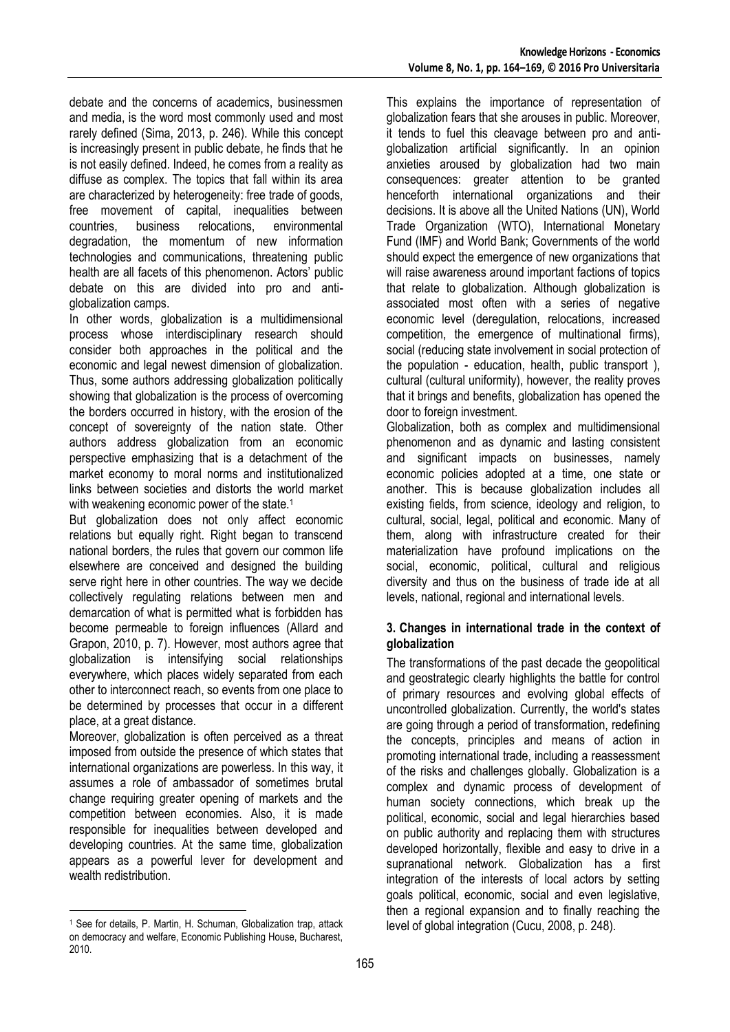debate and the concerns of academics, businessmen and media, is the word most commonly used and most rarely defined (Sima, 2013, p. 246). While this concept is increasingly present in public debate, he finds that he is not easily defined. Indeed, he comes from a reality as diffuse as complex. The topics that fall within its area are characterized by heterogeneity: free trade of goods, free movement of capital, inequalities between countries, business relocations, environmental degradation, the momentum of new information technologies and communications, threatening public health are all facets of this phenomenon. Actors' public debate on this are divided into pro and antiglobalization camps.

In other words, globalization is a multidimensional process whose interdisciplinary research should consider both approaches in the political and the economic and legal newest dimension of globalization. Thus, some authors addressing globalization politically showing that globalization is the process of overcoming the borders occurred in history, with the erosion of the concept of sovereignty of the nation state. Other authors address globalization from an economic perspective emphasizing that is a detachment of the market economy to moral norms and institutionalized links between societies and distorts the world market with weakening economic power of the state.<sup>1</sup>

But globalization does not only affect economic relations but equally right. Right began to transcend national borders, the rules that govern our common life elsewhere are conceived and designed the building serve right here in other countries. The way we decide collectively regulating relations between men and demarcation of what is permitted what is forbidden has become permeable to foreign influences (Allard and Grapon, 2010, p. 7). However, most authors agree that globalization is intensifying social relationships everywhere, which places widely separated from each other to interconnect reach, so events from one place to be determined by processes that occur in a different place, at a great distance.

Moreover, globalization is often perceived as a threat imposed from outside the presence of which states that international organizations are powerless. In this way, it assumes a role of ambassador of sometimes brutal change requiring greater opening of markets and the competition between economies. Also, it is made responsible for inequalities between developed and developing countries. At the same time, globalization appears as a powerful lever for development and wealth redistribution.

<u>.</u>

This explains the importance of representation of globalization fears that she arouses in public. Moreover, it tends to fuel this cleavage between pro and antiglobalization artificial significantly. In an opinion anxieties aroused by globalization had two main consequences: greater attention to be granted henceforth international organizations and their decisions. It is above all the United Nations (UN), World Trade Organization (WTO), International Monetary Fund (IMF) and World Bank; Governments of the world should expect the emergence of new organizations that will raise awareness around important factions of topics that relate to globalization. Although globalization is associated most often with a series of negative economic level (deregulation, relocations, increased competition, the emergence of multinational firms), social (reducing state involvement in social protection of the population - education, health, public transport ), cultural (cultural uniformity), however, the reality proves that it brings and benefits, globalization has opened the door to foreign investment.

Globalization, both as complex and multidimensional phenomenon and as dynamic and lasting consistent and significant impacts on businesses, namely economic policies adopted at a time, one state or another. This is because globalization includes all existing fields, from science, ideology and religion, to cultural, social, legal, political and economic. Many of them, along with infrastructure created for their materialization have profound implications on the social, economic, political, cultural and religious diversity and thus on the business of trade ide at all levels, national, regional and international levels.

## **3. Changes in international trade in the context of globalization**

The transformations of the past decade the geopolitical and geostrategic clearly highlights the battle for control of primary resources and evolving global effects of uncontrolled globalization. Currently, the world's states are going through a period of transformation, redefining the concepts, principles and means of action in promoting international trade, including a reassessment of the risks and challenges globally. Globalization is a complex and dynamic process of development of human society connections, which break up the political, economic, social and legal hierarchies based on public authority and replacing them with structures developed horizontally, flexible and easy to drive in a supranational network. Globalization has a first integration of the interests of local actors by setting goals political, economic, social and even legislative, then a regional expansion and to finally reaching the level of global integration (Cucu, 2008, p. 248).

<sup>1</sup> See for details, P. Martin, H. Schuman, Globalization trap, attack on democracy and welfare, Economic Publishing House, Bucharest, 2010.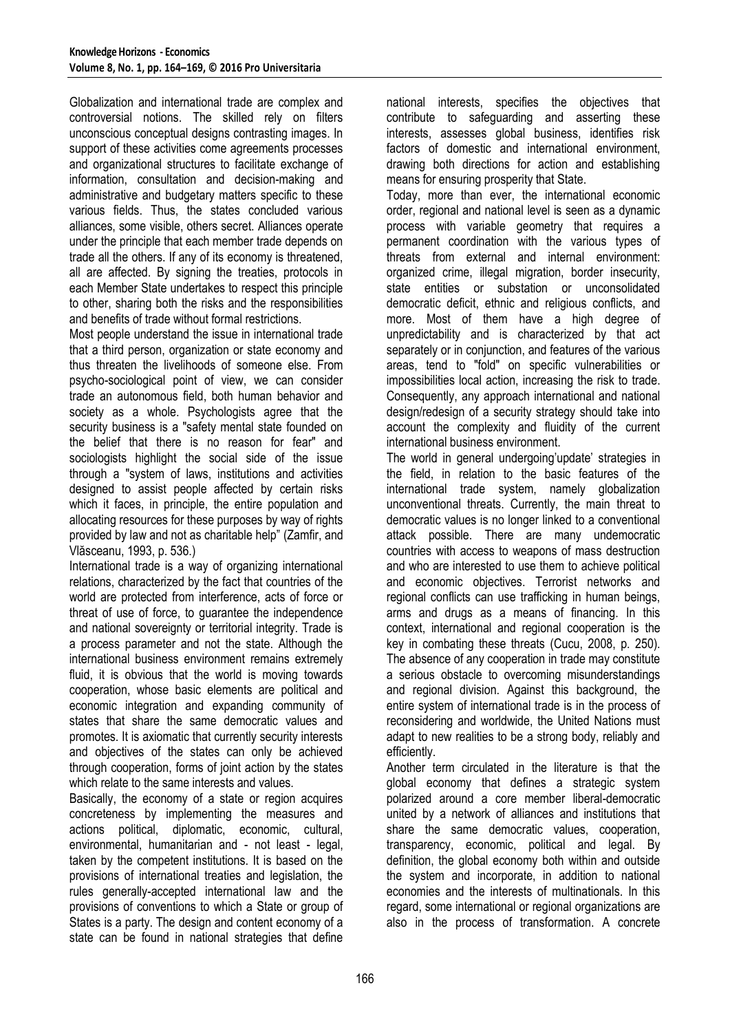Globalization and international trade are complex and controversial notions. The skilled rely on filters unconscious conceptual designs contrasting images. In support of these activities come agreements processes and organizational structures to facilitate exchange of information, consultation and decision-making and administrative and budgetary matters specific to these various fields. Thus, the states concluded various alliances, some visible, others secret. Alliances operate under the principle that each member trade depends on trade all the others. If any of its economy is threatened, all are affected. By signing the treaties, protocols in each Member State undertakes to respect this principle to other, sharing both the risks and the responsibilities and benefits of trade without formal restrictions.

Most people understand the issue in international trade that a third person, organization or state economy and thus threaten the livelihoods of someone else. From psycho-sociological point of view, we can consider trade an autonomous field, both human behavior and society as a whole. Psychologists agree that the security business is a "safety mental state founded on the belief that there is no reason for fear" and sociologists highlight the social side of the issue through a "system of laws, institutions and activities designed to assist people affected by certain risks which it faces, in principle, the entire population and allocating resources for these purposes by way of rights provided by law and not as charitable help" (Zamfir, and Vlăsceanu, 1993, p. 536.)

International trade is a way of organizing international relations, characterized by the fact that countries of the world are protected from interference, acts of force or threat of use of force, to guarantee the independence and national sovereignty or territorial integrity. Trade is a process parameter and not the state. Although the international business environment remains extremely fluid, it is obvious that the world is moving towards cooperation, whose basic elements are political and economic integration and expanding community of states that share the same democratic values and promotes. It is axiomatic that currently security interests and objectives of the states can only be achieved through cooperation, forms of joint action by the states which relate to the same interests and values.

Basically, the economy of a state or region acquires concreteness by implementing the measures and actions political, diplomatic, economic, cultural, environmental, humanitarian and - not least - legal, taken by the competent institutions. It is based on the provisions of international treaties and legislation, the rules generally-accepted international law and the provisions of conventions to which a State or group of States is a party. The design and content economy of a state can be found in national strategies that define national interests, specifies the objectives that contribute to safeguarding and asserting these interests, assesses global business, identifies risk factors of domestic and international environment, drawing both directions for action and establishing means for ensuring prosperity that State.

Today, more than ever, the international economic order, regional and national level is seen as a dynamic process with variable geometry that requires a permanent coordination with the various types of threats from external and internal environment: organized crime, illegal migration, border insecurity, state entities or substation or unconsolidated democratic deficit, ethnic and religious conflicts, and more. Most of them have a high degree of unpredictability and is characterized by that act separately or in conjunction, and features of the various areas, tend to "fold" on specific vulnerabilities or impossibilities local action, increasing the risk to trade. Consequently, any approach international and national design/redesign of a security strategy should take into account the complexity and fluidity of the current international business environment.

The world in general undergoing'update' strategies in the field, in relation to the basic features of the international trade system, namely globalization unconventional threats. Currently, the main threat to democratic values is no longer linked to a conventional attack possible. There are many undemocratic countries with access to weapons of mass destruction and who are interested to use them to achieve political and economic objectives. Terrorist networks and regional conflicts can use trafficking in human beings, arms and drugs as a means of financing. In this context, international and regional cooperation is the key in combating these threats (Cucu, 2008, p. 250). The absence of any cooperation in trade may constitute a serious obstacle to overcoming misunderstandings and regional division. Against this background, the entire system of international trade is in the process of reconsidering and worldwide, the United Nations must adapt to new realities to be a strong body, reliably and efficiently.

Another term circulated in the literature is that the global economy that defines a strategic system polarized around a core member liberal-democratic united by a network of alliances and institutions that share the same democratic values, cooperation, transparency, economic, political and legal. By definition, the global economy both within and outside the system and incorporate, in addition to national economies and the interests of multinationals. In this regard, some international or regional organizations are also in the process of transformation. A concrete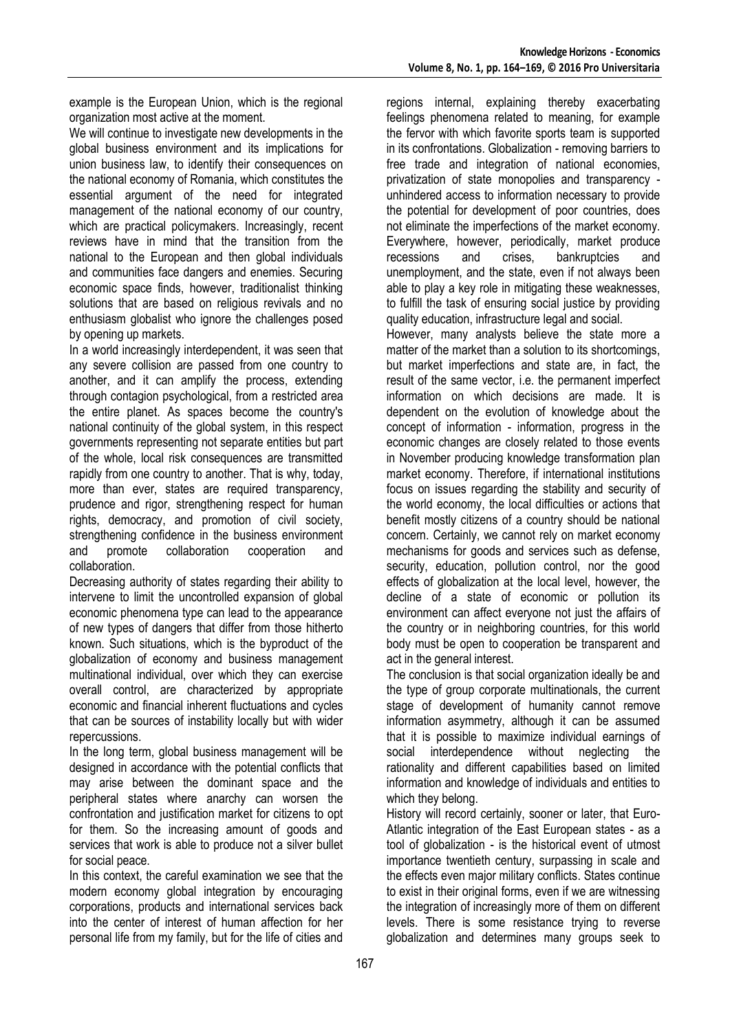example is the European Union, which is the regional organization most active at the moment.

We will continue to investigate new developments in the global business environment and its implications for union business law, to identify their consequences on the national economy of Romania, which constitutes the essential argument of the need for integrated management of the national economy of our country, which are practical policymakers. Increasingly, recent reviews have in mind that the transition from the national to the European and then global individuals and communities face dangers and enemies. Securing economic space finds, however, traditionalist thinking solutions that are based on religious revivals and no enthusiasm globalist who ignore the challenges posed by opening up markets.

In a world increasingly interdependent, it was seen that any severe collision are passed from one country to another, and it can amplify the process, extending through contagion psychological, from a restricted area the entire planet. As spaces become the country's national continuity of the global system, in this respect governments representing not separate entities but part of the whole, local risk consequences are transmitted rapidly from one country to another. That is why, today, more than ever, states are required transparency, prudence and rigor, strengthening respect for human rights, democracy, and promotion of civil society, strengthening confidence in the business environment and promote collaboration cooperation and collaboration.

Decreasing authority of states regarding their ability to intervene to limit the uncontrolled expansion of global economic phenomena type can lead to the appearance of new types of dangers that differ from those hitherto known. Such situations, which is the byproduct of the globalization of economy and business management multinational individual, over which they can exercise overall control, are characterized by appropriate economic and financial inherent fluctuations and cycles that can be sources of instability locally but with wider repercussions.

In the long term, global business management will be designed in accordance with the potential conflicts that may arise between the dominant space and the peripheral states where anarchy can worsen the confrontation and justification market for citizens to opt for them. So the increasing amount of goods and services that work is able to produce not a silver bullet for social peace.

In this context, the careful examination we see that the modern economy global integration by encouraging corporations, products and international services back into the center of interest of human affection for her personal life from my family, but for the life of cities and

regions internal, explaining thereby exacerbating feelings phenomena related to meaning, for example the fervor with which favorite sports team is supported in its confrontations. Globalization - removing barriers to free trade and integration of national economies, privatization of state monopolies and transparency unhindered access to information necessary to provide the potential for development of poor countries, does not eliminate the imperfections of the market economy. Everywhere, however, periodically, market produce recessions and crises, bankruptcies and unemployment, and the state, even if not always been able to play a key role in mitigating these weaknesses, to fulfill the task of ensuring social justice by providing quality education, infrastructure legal and social.

However, many analysts believe the state more a matter of the market than a solution to its shortcomings, but market imperfections and state are, in fact, the result of the same vector, i.e. the permanent imperfect information on which decisions are made. It is dependent on the evolution of knowledge about the concept of information - information, progress in the economic changes are closely related to those events in November producing knowledge transformation plan market economy. Therefore, if international institutions focus on issues regarding the stability and security of the world economy, the local difficulties or actions that benefit mostly citizens of a country should be national concern. Certainly, we cannot rely on market economy mechanisms for goods and services such as defense, security, education, pollution control, nor the good effects of globalization at the local level, however, the decline of a state of economic or pollution its environment can affect everyone not just the affairs of the country or in neighboring countries, for this world body must be open to cooperation be transparent and act in the general interest.

The conclusion is that social organization ideally be and the type of group corporate multinationals, the current stage of development of humanity cannot remove information asymmetry, although it can be assumed that it is possible to maximize individual earnings of social interdependence without neglecting the rationality and different capabilities based on limited information and knowledge of individuals and entities to which they belong.

History will record certainly, sooner or later, that Euro-Atlantic integration of the East European states - as a tool of globalization - is the historical event of utmost importance twentieth century, surpassing in scale and the effects even major military conflicts. States continue to exist in their original forms, even if we are witnessing the integration of increasingly more of them on different levels. There is some resistance trying to reverse globalization and determines many groups seek to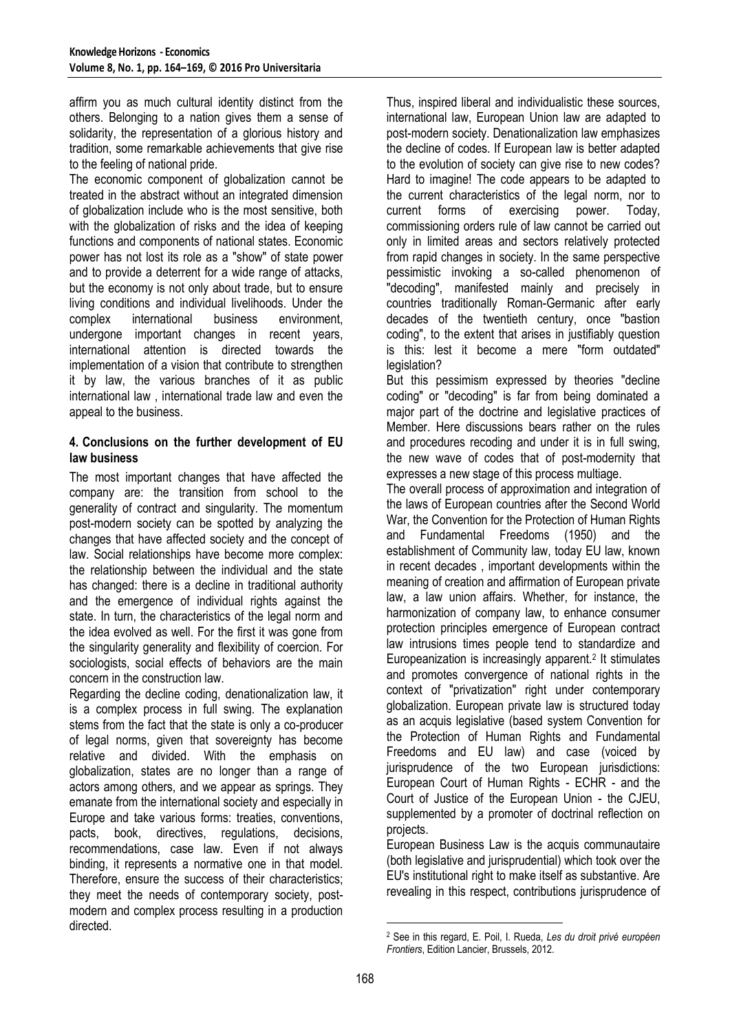affirm you as much cultural identity distinct from the others. Belonging to a nation gives them a sense of solidarity, the representation of a glorious history and tradition, some remarkable achievements that give rise to the feeling of national pride.

The economic component of globalization cannot be treated in the abstract without an integrated dimension of globalization include who is the most sensitive, both with the globalization of risks and the idea of keeping functions and components of national states. Economic power has not lost its role as a "show" of state power and to provide a deterrent for a wide range of attacks, but the economy is not only about trade, but to ensure living conditions and individual livelihoods. Under the complex international business environment, undergone important changes in recent years, international attention is directed towards the implementation of a vision that contribute to strengthen it by law, the various branches of it as public international law , international trade law and even the appeal to the business.

#### **4. Conclusions on the further development of EU law business**

The most important changes that have affected the company are: the transition from school to the generality of contract and singularity. The momentum post-modern society can be spotted by analyzing the changes that have affected society and the concept of law. Social relationships have become more complex: the relationship between the individual and the state has changed: there is a decline in traditional authority and the emergence of individual rights against the state. In turn, the characteristics of the legal norm and the idea evolved as well. For the first it was gone from the singularity generality and flexibility of coercion. For sociologists, social effects of behaviors are the main concern in the construction law.

Regarding the decline coding, denationalization law, it is a complex process in full swing. The explanation stems from the fact that the state is only a co-producer of legal norms, given that sovereignty has become relative and divided. With the emphasis on globalization, states are no longer than a range of actors among others, and we appear as springs. They emanate from the international society and especially in Europe and take various forms: treaties, conventions, pacts, book, directives, regulations, decisions, recommendations, case law. Even if not always binding, it represents a normative one in that model. Therefore, ensure the success of their characteristics; they meet the needs of contemporary society, postmodern and complex process resulting in a production directed.

Thus, inspired liberal and individualistic these sources, international law, European Union law are adapted to post-modern society. Denationalization law emphasizes the decline of codes. If European law is better adapted to the evolution of society can give rise to new codes? Hard to imagine! The code appears to be adapted to the current characteristics of the legal norm, nor to current forms of exercising power. Today, commissioning orders rule of law cannot be carried out only in limited areas and sectors relatively protected from rapid changes in society. In the same perspective pessimistic invoking a so-called phenomenon of "decoding", manifested mainly and precisely in countries traditionally Roman-Germanic after early decades of the twentieth century, once "bastion coding", to the extent that arises in justifiably question is this: lest it become a mere "form outdated" legislation?

But this pessimism expressed by theories "decline coding" or "decoding" is far from being dominated a major part of the doctrine and legislative practices of Member. Here discussions bears rather on the rules and procedures recoding and under it is in full swing, the new wave of codes that of post-modernity that expresses a new stage of this process multiage.

The overall process of approximation and integration of the laws of European countries after the Second World War, the Convention for the Protection of Human Rights and Fundamental Freedoms (1950) and the establishment of Community law, today EU law, known in recent decades , important developments within the meaning of creation and affirmation of European private law, a law union affairs. Whether, for instance, the harmonization of company law, to enhance consumer protection principles emergence of European contract law intrusions times people tend to standardize and Europeanization is increasingly apparent.<sup>2</sup> It stimulates and promotes convergence of national rights in the context of "privatization" right under contemporary globalization. European private law is structured today as an acquis legislative (based system Convention for the Protection of Human Rights and Fundamental Freedoms and EU law) and case (voiced by jurisprudence of the two European jurisdictions: European Court of Human Rights - ECHR - and the Court of Justice of the European Union - the CJEU, supplemented by a promoter of doctrinal reflection on projects.

European Business Law is the acquis communautaire (both legislative and jurisprudential) which took over the EU's institutional right to make itself as substantive. Are revealing in this respect, contributions jurisprudence of

<u>.</u>

<sup>2</sup> See in this regard, E. Poil, I. Rueda, *Les du droit privé européen Frontiers*, Edition Lancier, Brussels, 2012.